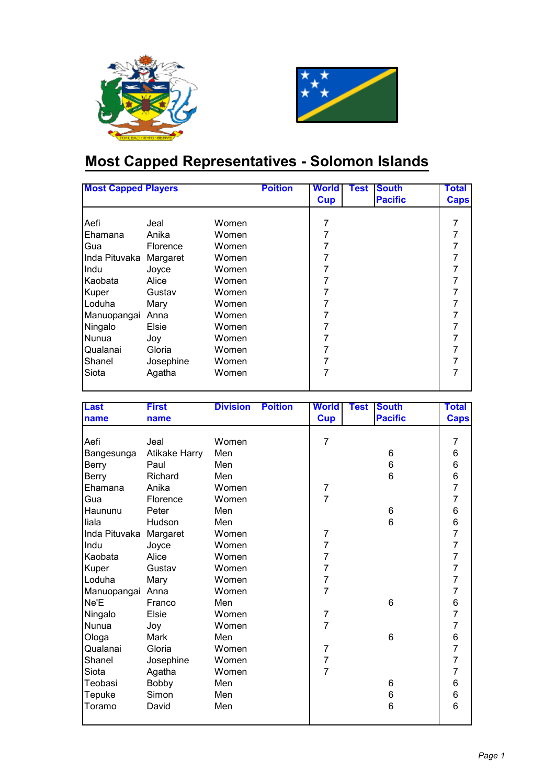



## **Most Capped Representatives - Solomon Islands**

| <b>Most Capped Players</b> |           |       | <b>Poition</b> | <b>World</b> | Test | <b>South</b>   | Total       |
|----------------------------|-----------|-------|----------------|--------------|------|----------------|-------------|
|                            |           |       |                | <b>Cup</b>   |      | <b>Pacific</b> | <b>Caps</b> |
| Aefi                       | Jeal      | Women |                | 7            |      |                | 7           |
| Ehamana                    | Anika     | Women |                | 7            |      |                | 7           |
| Gua                        | Florence  | Women |                | 7            |      |                | 7           |
| Inda Pituvaka              | Margaret  | Women |                | 7            |      |                | 7           |
| <b>Indu</b>                | Joyce     | Women |                |              |      |                | 7           |
| Kaobata                    | Alice     | Women |                | 7            |      |                | 7           |
| Kuper                      | Gustav    | Women |                | 7            |      |                | 7           |
| Loduha                     | Mary      | Women |                | 7            |      |                | 7           |
| Manuopangai                | Anna      | Women |                | 7            |      |                | 7           |
| Ningalo                    | Elsie     | Women |                | 7            |      |                | 7           |
| <b>N</b> unua              | Joy       | Women |                | 7            |      |                | 7           |
| Qualanai                   | Gloria    | Women |                | 7            |      |                | 7           |
| Shanel                     | Josephine | Women |                | 7            |      |                | 7           |
| Siota                      | Agatha    | Women |                | 7            |      |                | 7           |

| <b>Last</b>   | <b>First</b>         | <b>Division</b> | <b>Poition</b> | <b>World</b>   | <b>Test</b> | <b>South</b>   | Total          |
|---------------|----------------------|-----------------|----------------|----------------|-------------|----------------|----------------|
| name          | name                 |                 |                | <b>Cup</b>     |             | <b>Pacific</b> | <b>Caps</b>    |
|               |                      |                 |                |                |             |                |                |
| Aefi          | Jeal                 | Women           |                | 7              |             |                | 7              |
| Bangesunga    | <b>Atikake Harry</b> | Men             |                |                |             | 6              | 6              |
| <b>Berry</b>  | Paul                 | Men             |                |                |             | 6              | 6<br>6         |
| Berry         | Richard              | Men             |                |                |             | 6              |                |
| Ehamana       | Anika                | Women           |                | 7              |             |                | $\overline{7}$ |
| Gua           | Florence             | Women           |                | $\overline{7}$ |             |                | $\overline{7}$ |
| Haununu       | Peter                | Men             |                |                |             | 6              | 6              |
| liala         | Hudson               | Men             |                |                |             | 6              | 6              |
| Inda Pituvaka | Margaret             | Women           |                | $\overline{7}$ |             |                | $\overline{7}$ |
| Indu          | Joyce                | Women           |                | $\overline{7}$ |             |                | $\overline{7}$ |
| Kaobata       | Alice                | Women           |                | $\overline{7}$ |             |                | $\overline{7}$ |
| Kuper         | Gustav               | Women           |                | 7              |             |                | $\overline{7}$ |
| Loduha        | Mary                 | Women           |                | $\overline{7}$ |             |                | $\overline{7}$ |
| Manuopangai   | Anna                 | Women           |                | $\overline{7}$ |             |                | $\overline{7}$ |
| Ne'E          | Franco               | Men             |                |                |             | 6              | 6              |
| Ningalo       | Elsie                | Women           |                | 7              |             |                | $\overline{7}$ |
| Nunua         | Joy                  | Women           |                | $\overline{7}$ |             |                | $\overline{7}$ |
| Ologa         | Mark                 | Men             |                |                |             | 6              | 6              |
| Qualanai      | Gloria               | Women           |                | $\overline{7}$ |             |                | $\overline{7}$ |
| Shanel        | Josephine            | Women           |                | $\overline{7}$ |             |                | $\overline{7}$ |
| Siota         | Agatha               | Women           |                | $\overline{7}$ |             |                | $\overline{7}$ |
| Teobasi       | <b>Bobby</b>         | Men             |                |                |             | 6              | 6              |
| Tepuke        | Simon                | Men             |                |                |             | 6              | 6              |
| Toramo        | David                | Men             |                |                |             | 6              | 6              |
|               |                      |                 |                |                |             |                |                |